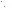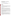# **Technical Factsheet on: DI (2-ETHYLHEXYL) PHTHALATE (DEHP)**

[List of Contaminants](http://www.epa.gov/safewater/hfacts.html) 

 As part of the Drinking Water and Health pages, this fact sheet is part of a larger publication: **National Primary Drinking Water Regulations** 

Drinking Water Standards MCLG: zero MCL: 0.006 mg/L HAL(child): none

## **Health Effects Summary**

Acute: EPA has found di (2-ethylhexyl) phthalate (DEHP) to potentially cause the following health effects from acute exposures at levels above the MCL: mild gastrointestinal disturbances, nausea, vertigo.

 above the MCL: damage to liver and testes; reproductive effects. Chronic: DEHP has the potential to cause the following health effects from long-term exposures at levels

Cancer: There is some evidence that DEHP may have the potential to cause cancer from a lifetime exposure at levels above the MCL.

#### **Usage Patterns**

 including rubber, cellulose and styrene. A number of packaging materials and tubings used in the DEHP is the most commonly used of a group of related chemicals called phthalates or phthalic acid esters.The greatest use of DEHP is as a plasticizer for polyvinylchloride (PVC) and other polymers production of foods and beverages are polyvinyl chloride contaminated with phthalic acid esters, primarily DEHP.

 decorative inks, lacquers, munitions, industrial and lubricating oils, defoaming agents during paper and It is also used widely in insect repellant formulations cosmetics, rubbing alcohol, liquid soap, detergents, paperboard manufactures, and as pesticide carriers, in photographic film, wire and cable, adhesives, as an organic vacuum pump fluid, a dielectric in capacitators.

 Production of DEHP increased during the 1980s, from 251 million lbs in 1982 to over 286 million lbs. in 1986, with imports of 6 million lbs. In 1986, it was estimated that industries consumed DEHP as follows: plasticizer for polyvinyl chloride, 95%; other uses, 5%.

#### **Release Patterns**

 materials. Disposal of these products (incineration, landfill, etc) will result in the release of DEHP into the DEHP is used in large quantities, primarily as a plasticizer for polyvinyl chloride and other polymeric environment. DEHP has been detected in the effluent of numerous industrial plants.

 Wisconsin and Tennessee. From 1987 to 1993, according to EPA's Toxic Chemical Release Inventory, DEHP releases to land and water totalled over 500,000 lbs., of which about 95 percent was to land. These releases were primarily from rubber and plastic hose industries . The largest releases (10% or more of the total) occurred in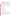## **Environmental Fate**

 DEHP released to soil will neither evaporate nor leach into groundwater. DEHP has a strong tendency to adsorb to soil and sediments. Calculated log Koc values of 4 to 5 have been reported. Experimental evidence demonstrates strong partitioning to clays and sediments (log K= 4-5). Limited data is available to suggest that it may biodegrade in soil under aerobic conditions following acclimation.

DEHP released to water systems will biodegrade fairly rapidly (half-life 2-3 weeks) following a period of acclimation. It will also strongly adsorb to sediments (log Koc 4 to 5). Evaporation and hydrolysis are not significant aquatic processes.

Atmospheric DEHP will be carried long distances and be removed by rain.

 from a log of 2 to 4 in fish and invertebrates. In fathead minnows the log BCF was 2.93; in bluegill sunfish it was 2.06 . DEHP does have a tendency to bioconcentrate in aquatic organisms; the experimental BCF values range

Human exposure will occur in occupational settings and from air, from consumption of drinking water, food (especially fish etc, where bioconcentration can occur) and food wrapped in PVC, as well as during blood transfusions from PVC blood bags.

## **Chemical/ Physical Properties**

CAS Number: 117-81-7

Color/ Form/Odor: Colorless oily liquid

M.P.: -50 C B.P.: 230 C (5 mm Hg)

Vapor Pressure: 1.32 mm Hg at 200 C

Octanol/Water Partition (Kow): Log Kow = 4.89

Density/Spec. Grav.: 0.99 at 20 C

Solubility: 0.285 mg/L of water at 24 C; Slightly soluble in water

Density/Spec. Grav.: 0.99 at 20 C<br>Solubility: 0.285 mg/L of water at 24 C; Slightly soluble in water<br>Soil sorption coefficient: Log Koc measured at 4 to 5; low mobility in soil

Odor/Taste Thresholds: N/A

Odor/Taste Thresholds: N/A<br>Bioconcentration Factor: Log BCF =2 to 4 in fish; expected to bioconcentrate in aquatic organisms.

Henry's Law Coefficient: 1x10-4 atm-cu m/mole

 Vinicizer 80; Palatinol AH; Hercoflex 260; Kodaflex DOP; Mollan O; Nuoplaz DOP; Octoil; Eviplast 80; Fleximel; Flexol DOP; Good-rite GP264; Hatcol DOP; Ergoplast FDO; DAF 68; Bisoflex 81 Trade Names/Synonyms: DEHP; Bis(2-ethylhexyl)-phthalate; BEHP; Dioctyl phthalate; Pittsburgh PX-138; Platinol AH; RC Plasticizer DOP; Reomol D79P; Sicol 150; Staflex DOP; Truflex DOP; Vestinol AH;

# **Other Regulatory Information**